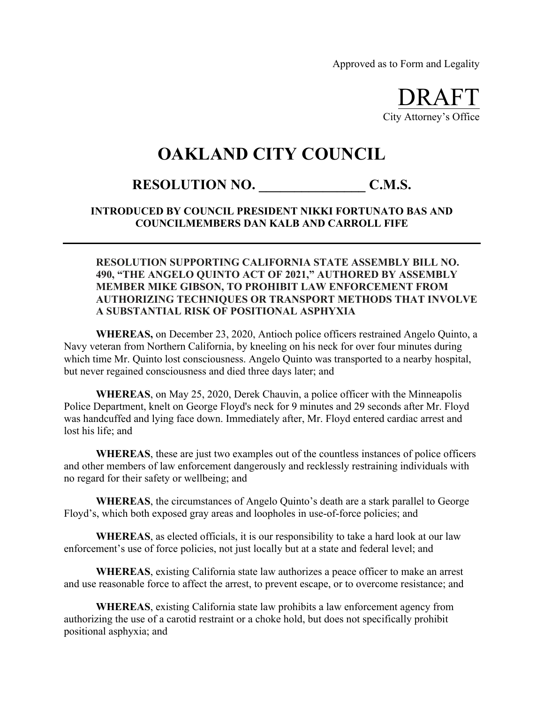Approved as to Form and Legality

DRAFT City Attorney's Office

## **OAKLAND CITY COUNCIL**

## RESOLUTION NO. C.M.S.

**INTRODUCED BY COUNCIL PRESIDENT NIKKI FORTUNATO BAS AND COUNCILMEMBERS DAN KALB AND CARROLL FIFE**

## **RESOLUTION SUPPORTING CALIFORNIA STATE ASSEMBLY BILL NO. 490, "THE ANGELO QUINTO ACT OF 2021," AUTHORED BY ASSEMBLY MEMBER MIKE GIBSON, TO PROHIBIT LAW ENFORCEMENT FROM AUTHORIZING TECHNIQUES OR TRANSPORT METHODS THAT INVOLVE A SUBSTANTIAL RISK OF POSITIONAL ASPHYXIA**

**WHEREAS,** on December 23, 2020, Antioch police officers restrained Angelo Quinto, a Navy veteran from Northern California, by kneeling on his neck for over four minutes during which time Mr. Quinto lost consciousness. Angelo Quinto was transported to a nearby hospital, but never regained consciousness and died three days later; and

**WHEREAS**, on May 25, 2020, Derek Chauvin, a police officer with the Minneapolis Police Department, knelt on George Floyd's neck for 9 minutes and 29 seconds after Mr. Floyd was handcuffed and lying face down. Immediately after, Mr. Floyd entered cardiac arrest and lost his life; and

**WHEREAS**, these are just two examples out of the countless instances of police officers and other members of law enforcement dangerously and recklessly restraining individuals with no regard for their safety or wellbeing; and

**WHEREAS**, the circumstances of Angelo Quinto's death are a stark parallel to George Floyd's, which both exposed gray areas and loopholes in use-of-force policies; and

**WHEREAS**, as elected officials, it is our responsibility to take a hard look at our law enforcement's use of force policies, not just locally but at a state and federal level; and

**WHEREAS**, existing California state law authorizes a peace officer to make an arrest and use reasonable force to affect the arrest, to prevent escape, or to overcome resistance; and

**WHEREAS**, existing California state law prohibits a law enforcement agency from authorizing the use of a carotid restraint or a choke hold, but does not specifically prohibit positional asphyxia; and